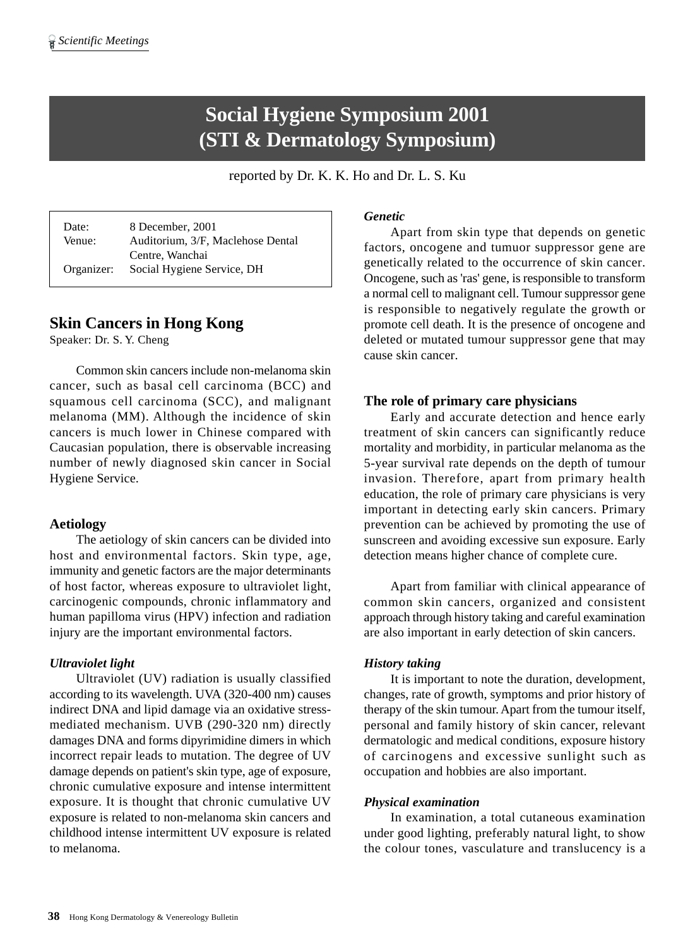# **Social Hygiene Symposium 2001 (STI & Dermatology Symposium)**

reported by Dr. K. K. Ho and Dr. L. S. Ku

Date: 8 December, 2001 Venue: Auditorium, 3/F, Maclehose Dental Centre, Wanchai Organizer: Social Hygiene Service, DH

# **Skin Cancers in Hong Kong**

Speaker: Dr. S. Y. Cheng

Common skin cancers include non-melanoma skin cancer, such as basal cell carcinoma (BCC) and squamous cell carcinoma (SCC), and malignant melanoma (MM). Although the incidence of skin cancers is much lower in Chinese compared with Caucasian population, there is observable increasing number of newly diagnosed skin cancer in Social Hygiene Service.

# **Aetiology**

The aetiology of skin cancers can be divided into host and environmental factors. Skin type, age, immunity and genetic factors are the major determinants of host factor, whereas exposure to ultraviolet light, carcinogenic compounds, chronic inflammatory and human papilloma virus (HPV) infection and radiation injury are the important environmental factors.

# *Ultraviolet light*

Ultraviolet (UV) radiation is usually classified according to its wavelength. UVA (320-400 nm) causes indirect DNA and lipid damage via an oxidative stressmediated mechanism. UVB (290-320 nm) directly damages DNA and forms dipyrimidine dimers in which incorrect repair leads to mutation. The degree of UV damage depends on patient's skin type, age of exposure, chronic cumulative exposure and intense intermittent exposure. It is thought that chronic cumulative UV exposure is related to non-melanoma skin cancers and childhood intense intermittent UV exposure is related to melanoma.

# *Genetic*

Apart from skin type that depends on genetic factors, oncogene and tumuor suppressor gene are genetically related to the occurrence of skin cancer. Oncogene, such as 'ras' gene, is responsible to transform a normal cell to malignant cell. Tumour suppressor gene is responsible to negatively regulate the growth or promote cell death. It is the presence of oncogene and deleted or mutated tumour suppressor gene that may cause skin cancer.

# **The role of primary care physicians**

Early and accurate detection and hence early treatment of skin cancers can significantly reduce mortality and morbidity, in particular melanoma as the 5-year survival rate depends on the depth of tumour invasion. Therefore, apart from primary health education, the role of primary care physicians is very important in detecting early skin cancers. Primary prevention can be achieved by promoting the use of sunscreen and avoiding excessive sun exposure. Early detection means higher chance of complete cure.

Apart from familiar with clinical appearance of common skin cancers, organized and consistent approach through history taking and careful examination are also important in early detection of skin cancers.

# *History taking*

It is important to note the duration, development, changes, rate of growth, symptoms and prior history of therapy of the skin tumour. Apart from the tumour itself, personal and family history of skin cancer, relevant dermatologic and medical conditions, exposure history of carcinogens and excessive sunlight such as occupation and hobbies are also important.

# *Physical examination*

In examination, a total cutaneous examination under good lighting, preferably natural light, to show the colour tones, vasculature and translucency is a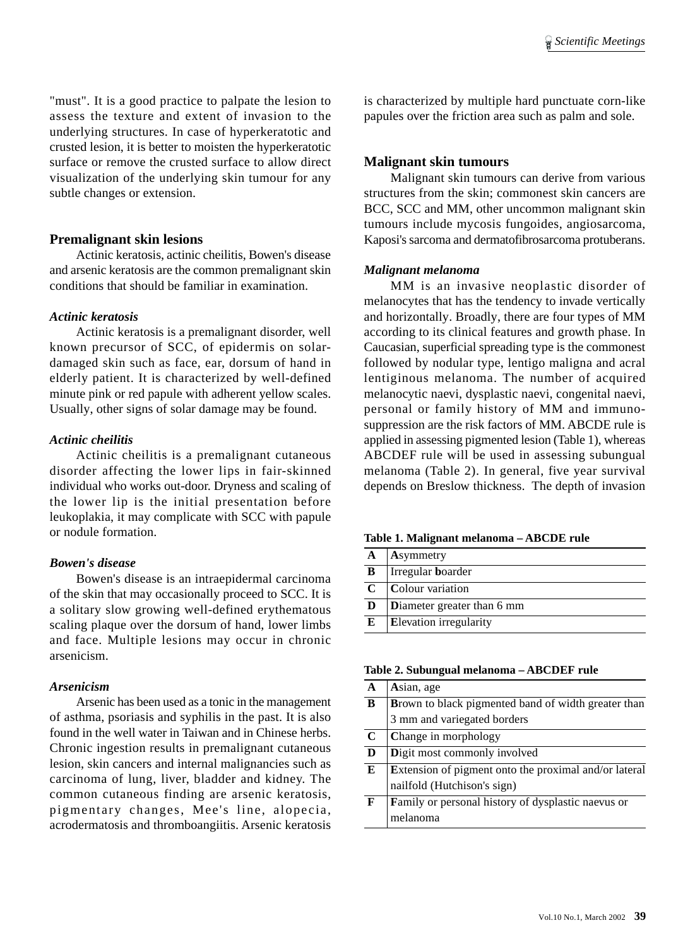"must". It is a good practice to palpate the lesion to assess the texture and extent of invasion to the underlying structures. In case of hyperkeratotic and crusted lesion, it is better to moisten the hyperkeratotic surface or remove the crusted surface to allow direct visualization of the underlying skin tumour for any subtle changes or extension.

## **Premalignant skin lesions**

Actinic keratosis, actinic cheilitis, Bowen's disease and arsenic keratosis are the common premalignant skin conditions that should be familiar in examination.

#### *Actinic keratosis*

Actinic keratosis is a premalignant disorder, well known precursor of SCC, of epidermis on solardamaged skin such as face, ear, dorsum of hand in elderly patient. It is characterized by well-defined minute pink or red papule with adherent yellow scales. Usually, other signs of solar damage may be found.

## *Actinic cheilitis*

Actinic cheilitis is a premalignant cutaneous disorder affecting the lower lips in fair-skinned individual who works out-door. Dryness and scaling of the lower lip is the initial presentation before leukoplakia, it may complicate with SCC with papule or nodule formation.

# *Bowen's disease*

Bowen's disease is an intraepidermal carcinoma of the skin that may occasionally proceed to SCC. It is a solitary slow growing well-defined erythematous scaling plaque over the dorsum of hand, lower limbs and face. Multiple lesions may occur in chronic arsenicism.

# *Arsenicism*

Arsenic has been used as a tonic in the management of asthma, psoriasis and syphilis in the past. It is also found in the well water in Taiwan and in Chinese herbs. Chronic ingestion results in premalignant cutaneous lesion, skin cancers and internal malignancies such as carcinoma of lung, liver, bladder and kidney. The common cutaneous finding are arsenic keratosis, pigmentary changes, Mee's line, alopecia, acrodermatosis and thromboangiitis. Arsenic keratosis

is characterized by multiple hard punctuate corn-like papules over the friction area such as palm and sole.

# **Malignant skin tumours**

Malignant skin tumours can derive from various structures from the skin; commonest skin cancers are BCC, SCC and MM, other uncommon malignant skin tumours include mycosis fungoides, angiosarcoma, Kaposi's sarcoma and dermatofibrosarcoma protuberans.

#### *Malignant melanoma*

MM is an invasive neoplastic disorder of melanocytes that has the tendency to invade vertically and horizontally. Broadly, there are four types of MM according to its clinical features and growth phase. In Caucasian, superficial spreading type is the commonest followed by nodular type, lentigo maligna and acral lentiginous melanoma. The number of acquired melanocytic naevi, dysplastic naevi, congenital naevi, personal or family history of MM and immunosuppression are the risk factors of MM. ABCDE rule is applied in assessing pigmented lesion (Table 1), whereas ABCDEF rule will be used in assessing subungual melanoma (Table 2). In general, five year survival depends on Breslow thickness. The depth of invasion

|             | Asymmetry                          |
|-------------|------------------------------------|
| B           | Irregular boarder                  |
| $\mathbf C$ | Colour variation                   |
| D           | <b>D</b> iameter greater than 6 mm |
| E           | <b>Elevation</b> irregularity      |

#### **Table 2. Subungual melanoma – ABCDEF rule**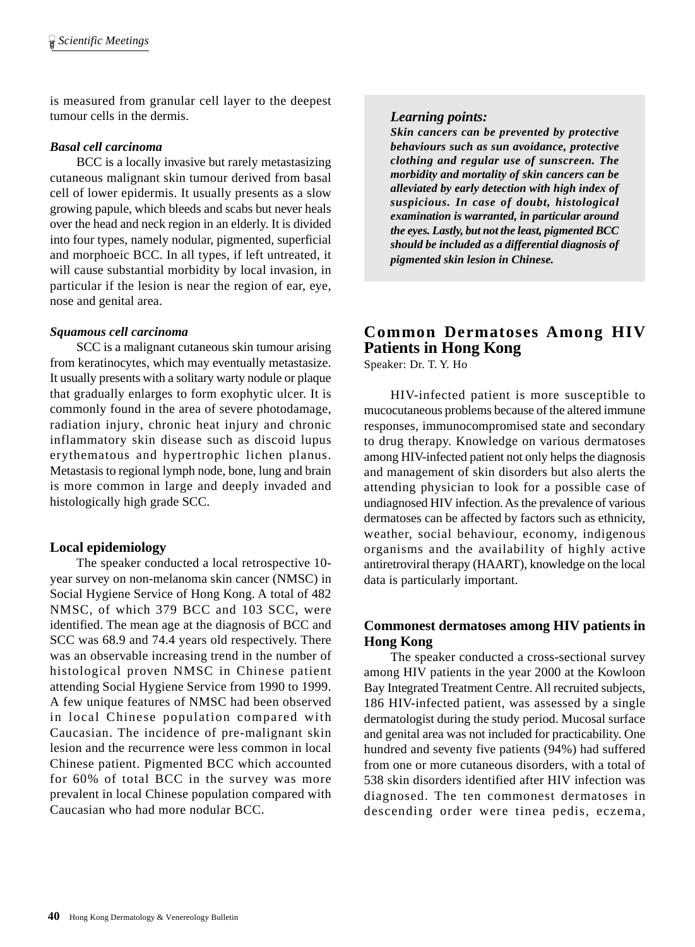is measured from granular cell layer to the deepest tumour cells in the dermis.

## *Basal cell carcinoma*

BCC is a locally invasive but rarely metastasizing cutaneous malignant skin tumour derived from basal cell of lower epidermis. It usually presents as a slow growing papule, which bleeds and scabs but never heals over the head and neck region in an elderly. It is divided into four types, namely nodular, pigmented, superficial and morphoeic BCC. In all types, if left untreated, it will cause substantial morbidity by local invasion, in particular if the lesion is near the region of ear, eye, nose and genital area.

# *Squamous cell carcinoma*

SCC is a malignant cutaneous skin tumour arising from keratinocytes, which may eventually metastasize. It usually presents with a solitary warty nodule or plaque that gradually enlarges to form exophytic ulcer. It is commonly found in the area of severe photodamage, radiation injury, chronic heat injury and chronic inflammatory skin disease such as discoid lupus erythematous and hypertrophic lichen planus. Metastasis to regional lymph node, bone, lung and brain is more common in large and deeply invaded and histologically high grade SCC.

# **Local epidemiology**

The speaker conducted a local retrospective 10 year survey on non-melanoma skin cancer (NMSC) in Social Hygiene Service of Hong Kong. A total of 482 NMSC, of which 379 BCC and 103 SCC, were identified. The mean age at the diagnosis of BCC and SCC was 68.9 and 74.4 years old respectively. There was an observable increasing trend in the number of histological proven NMSC in Chinese patient attending Social Hygiene Service from 1990 to 1999. A few unique features of NMSC had been observed in local Chinese population compared with Caucasian. The incidence of pre-malignant skin lesion and the recurrence were less common in local Chinese patient. Pigmented BCC which accounted for 60% of total BCC in the survey was more prevalent in local Chinese population compared with Caucasian who had more nodular BCC.

# *Learning points:*

*Skin cancers can be prevented by protective behaviours such as sun avoidance, protective clothing and regular use of sunscreen. The morbidity and mortality of skin cancers can be alleviated by early detection with high index of suspicious. In case of doubt, histological examination is warranted, in particular around the eyes. Lastly, but not the least, pigmented BCC should be included as a differential diagnosis of pigmented skin lesion in Chinese.*

# **Common Dermatoses Among HIV Patients in Hong Kong**

Speaker: Dr. T. Y. Ho

HIV-infected patient is more susceptible to mucocutaneous problems because of the altered immune responses, immunocompromised state and secondary to drug therapy. Knowledge on various dermatoses among HIV-infected patient not only helps the diagnosis and management of skin disorders but also alerts the attending physician to look for a possible case of undiagnosed HIV infection. As the prevalence of various dermatoses can be affected by factors such as ethnicity, weather, social behaviour, economy, indigenous organisms and the availability of highly active antiretroviral therapy (HAART), knowledge on the local data is particularly important.

# **Commonest dermatoses among HIV patients in Hong Kong**

The speaker conducted a cross-sectional survey among HIV patients in the year 2000 at the Kowloon Bay Integrated Treatment Centre. All recruited subjects, 186 HIV-infected patient, was assessed by a single dermatologist during the study period. Mucosal surface and genital area was not included for practicability. One hundred and seventy five patients (94%) had suffered from one or more cutaneous disorders, with a total of 538 skin disorders identified after HIV infection was diagnosed. The ten commonest dermatoses in descending order were tinea pedis, eczema,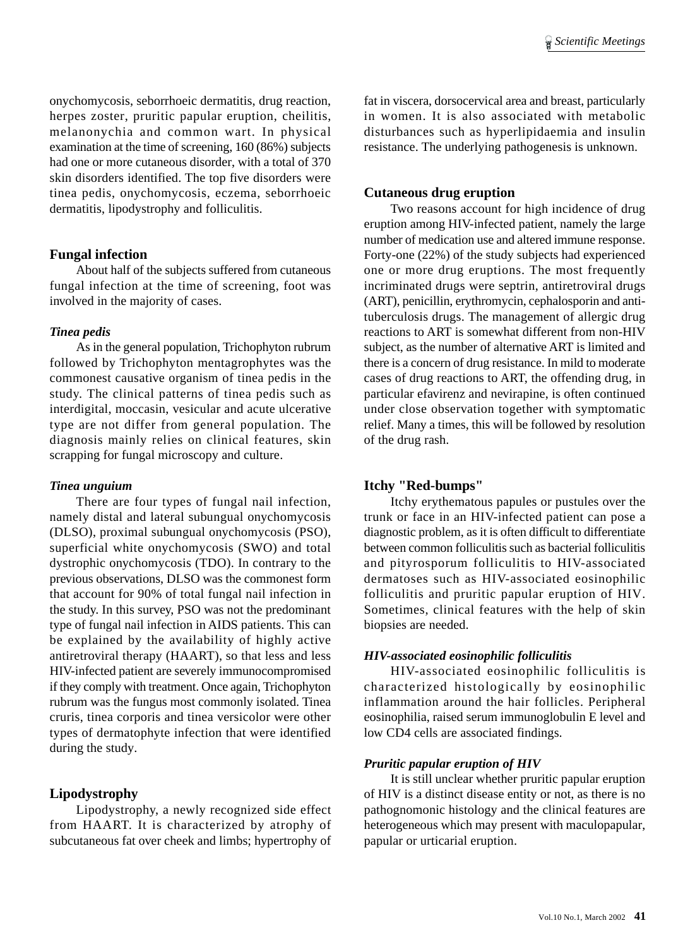onychomycosis, seborrhoeic dermatitis, drug reaction, herpes zoster, pruritic papular eruption, cheilitis, melanonychia and common wart. In physical examination at the time of screening, 160 (86%) subjects had one or more cutaneous disorder, with a total of 370 skin disorders identified. The top five disorders were tinea pedis, onychomycosis, eczema, seborrhoeic dermatitis, lipodystrophy and folliculitis.

#### **Fungal infection**

About half of the subjects suffered from cutaneous fungal infection at the time of screening, foot was involved in the majority of cases.

#### *Tinea pedis*

As in the general population, Trichophyton rubrum followed by Trichophyton mentagrophytes was the commonest causative organism of tinea pedis in the study. The clinical patterns of tinea pedis such as interdigital, moccasin, vesicular and acute ulcerative type are not differ from general population. The diagnosis mainly relies on clinical features, skin scrapping for fungal microscopy and culture.

#### *Tinea unguium*

There are four types of fungal nail infection, namely distal and lateral subungual onychomycosis (DLSO), proximal subungual onychomycosis (PSO), superficial white onychomycosis (SWO) and total dystrophic onychomycosis (TDO). In contrary to the previous observations, DLSO was the commonest form that account for 90% of total fungal nail infection in the study. In this survey, PSO was not the predominant type of fungal nail infection in AIDS patients. This can be explained by the availability of highly active antiretroviral therapy (HAART), so that less and less HIV-infected patient are severely immunocompromised if they comply with treatment. Once again, Trichophyton rubrum was the fungus most commonly isolated. Tinea cruris, tinea corporis and tinea versicolor were other types of dermatophyte infection that were identified during the study.

#### **Lipodystrophy**

Lipodystrophy, a newly recognized side effect from HAART. It is characterized by atrophy of subcutaneous fat over cheek and limbs; hypertrophy of fat in viscera, dorsocervical area and breast, particularly in women. It is also associated with metabolic disturbances such as hyperlipidaemia and insulin resistance. The underlying pathogenesis is unknown.

#### **Cutaneous drug eruption**

Two reasons account for high incidence of drug eruption among HIV-infected patient, namely the large number of medication use and altered immune response. Forty-one (22%) of the study subjects had experienced one or more drug eruptions. The most frequently incriminated drugs were septrin, antiretroviral drugs (ART), penicillin, erythromycin, cephalosporin and antituberculosis drugs. The management of allergic drug reactions to ART is somewhat different from non-HIV subject, as the number of alternative ART is limited and there is a concern of drug resistance. In mild to moderate cases of drug reactions to ART, the offending drug, in particular efavirenz and nevirapine, is often continued under close observation together with symptomatic relief. Many a times, this will be followed by resolution of the drug rash.

#### **Itchy "Red-bumps"**

Itchy erythematous papules or pustules over the trunk or face in an HIV-infected patient can pose a diagnostic problem, as it is often difficult to differentiate between common folliculitis such as bacterial folliculitis and pityrosporum folliculitis to HIV-associated dermatoses such as HIV-associated eosinophilic folliculitis and pruritic papular eruption of HIV. Sometimes, clinical features with the help of skin biopsies are needed.

#### *HIV-associated eosinophilic folliculitis*

HIV-associated eosinophilic folliculitis is characterized histologically by eosinophilic inflammation around the hair follicles. Peripheral eosinophilia, raised serum immunoglobulin E level and low CD4 cells are associated findings.

#### *Pruritic papular eruption of HIV*

It is still unclear whether pruritic papular eruption of HIV is a distinct disease entity or not, as there is no pathognomonic histology and the clinical features are heterogeneous which may present with maculopapular, papular or urticarial eruption.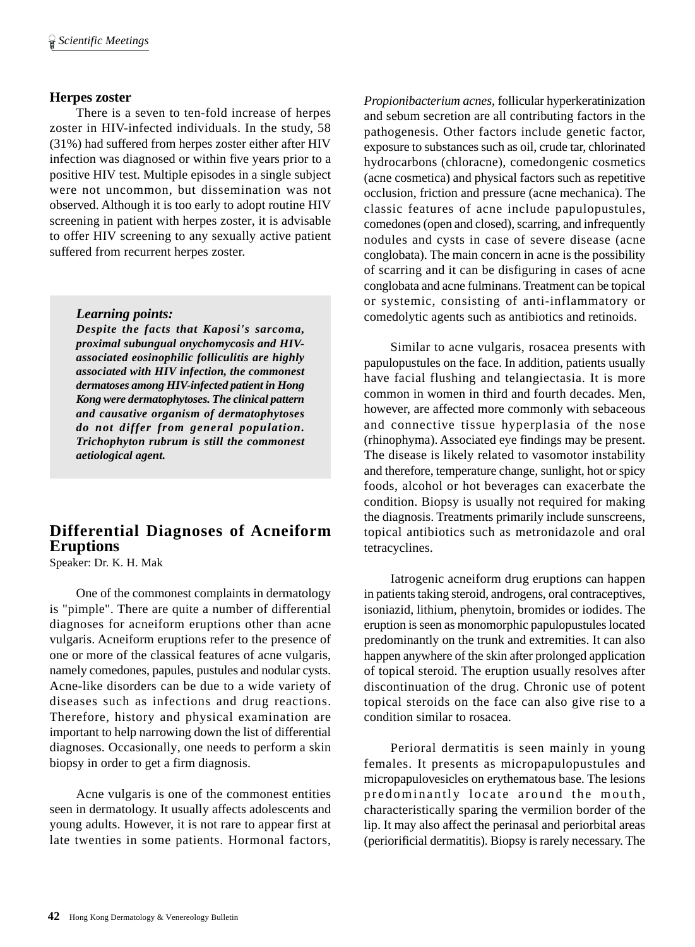# **Herpes zoster**

There is a seven to ten-fold increase of herpes zoster in HIV-infected individuals. In the study, 58 (31%) had suffered from herpes zoster either after HIV infection was diagnosed or within five years prior to a positive HIV test. Multiple episodes in a single subject were not uncommon, but dissemination was not observed. Although it is too early to adopt routine HIV screening in patient with herpes zoster, it is advisable to offer HIV screening to any sexually active patient suffered from recurrent herpes zoster.

## *Learning points:*

*Despite the facts that Kaposi's sarcoma, proximal subungual onychomycosis and HIVassociated eosinophilic folliculitis are highly associated with HIV infection, the commonest dermatoses among HIV-infected patient in Hong Kong were dermatophytoses. The clinical pattern and causative organism of dermatophytoses do not differ from general population. Trichophyton rubrum is still the commonest aetiological agent.*

# **Differential Diagnoses of Acneiform Eruptions**

Speaker: Dr. K. H. Mak

One of the commonest complaints in dermatology is "pimple". There are quite a number of differential diagnoses for acneiform eruptions other than acne vulgaris. Acneiform eruptions refer to the presence of one or more of the classical features of acne vulgaris, namely comedones, papules, pustules and nodular cysts. Acne-like disorders can be due to a wide variety of diseases such as infections and drug reactions. Therefore, history and physical examination are important to help narrowing down the list of differential diagnoses. Occasionally, one needs to perform a skin biopsy in order to get a firm diagnosis.

Acne vulgaris is one of the commonest entities seen in dermatology. It usually affects adolescents and young adults. However, it is not rare to appear first at late twenties in some patients. Hormonal factors,

*Propionibacterium acnes*, follicular hyperkeratinization and sebum secretion are all contributing factors in the pathogenesis. Other factors include genetic factor, exposure to substances such as oil, crude tar, chlorinated hydrocarbons (chloracne), comedongenic cosmetics (acne cosmetica) and physical factors such as repetitive occlusion, friction and pressure (acne mechanica). The classic features of acne include papulopustules, comedones (open and closed), scarring, and infrequently nodules and cysts in case of severe disease (acne conglobata). The main concern in acne is the possibility of scarring and it can be disfiguring in cases of acne conglobata and acne fulminans. Treatment can be topical or systemic, consisting of anti-inflammatory or comedolytic agents such as antibiotics and retinoids.

Similar to acne vulgaris, rosacea presents with papulopustules on the face. In addition, patients usually have facial flushing and telangiectasia. It is more common in women in third and fourth decades. Men, however, are affected more commonly with sebaceous and connective tissue hyperplasia of the nose (rhinophyma). Associated eye findings may be present. The disease is likely related to vasomotor instability and therefore, temperature change, sunlight, hot or spicy foods, alcohol or hot beverages can exacerbate the condition. Biopsy is usually not required for making the diagnosis. Treatments primarily include sunscreens, topical antibiotics such as metronidazole and oral tetracyclines.

Iatrogenic acneiform drug eruptions can happen in patients taking steroid, androgens, oral contraceptives, isoniazid, lithium, phenytoin, bromides or iodides. The eruption is seen as monomorphic papulopustules located predominantly on the trunk and extremities. It can also happen anywhere of the skin after prolonged application of topical steroid. The eruption usually resolves after discontinuation of the drug. Chronic use of potent topical steroids on the face can also give rise to a condition similar to rosacea.

Perioral dermatitis is seen mainly in young females. It presents as micropapulopustules and micropapulovesicles on erythematous base. The lesions predominantly locate around the mouth, characteristically sparing the vermilion border of the lip. It may also affect the perinasal and periorbital areas (periorificial dermatitis). Biopsy is rarely necessary. The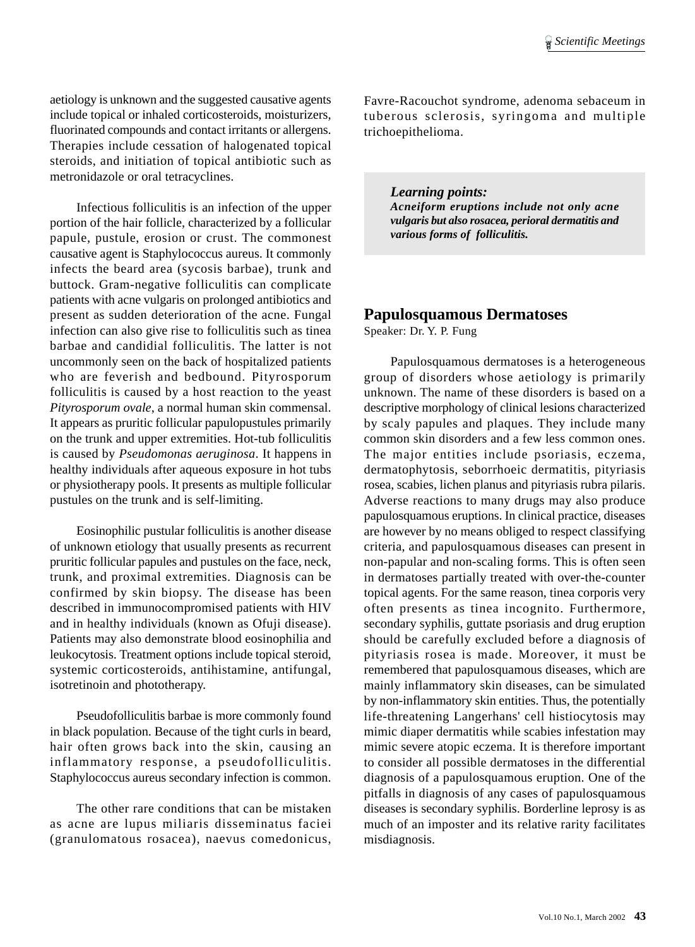aetiology is unknown and the suggested causative agents include topical or inhaled corticosteroids, moisturizers, fluorinated compounds and contact irritants or allergens. Therapies include cessation of halogenated topical steroids, and initiation of topical antibiotic such as metronidazole or oral tetracyclines.

Infectious folliculitis is an infection of the upper portion of the hair follicle, characterized by a follicular papule, pustule, erosion or crust. The commonest causative agent is Staphylococcus aureus. It commonly infects the beard area (sycosis barbae), trunk and buttock. Gram-negative folliculitis can complicate patients with acne vulgaris on prolonged antibiotics and present as sudden deterioration of the acne. Fungal infection can also give rise to folliculitis such as tinea barbae and candidial folliculitis. The latter is not uncommonly seen on the back of hospitalized patients who are feverish and bedbound. Pityrosporum folliculitis is caused by a host reaction to the yeast *Pityrosporum ovale*, a normal human skin commensal. It appears as pruritic follicular papulopustules primarily on the trunk and upper extremities. Hot-tub folliculitis is caused by *Pseudomonas aeruginosa*. It happens in healthy individuals after aqueous exposure in hot tubs or physiotherapy pools. It presents as multiple follicular pustules on the trunk and is self-limiting.

Eosinophilic pustular folliculitis is another disease of unknown etiology that usually presents as recurrent pruritic follicular papules and pustules on the face, neck, trunk, and proximal extremities. Diagnosis can be confirmed by skin biopsy. The disease has been described in immunocompromised patients with HIV and in healthy individuals (known as Ofuji disease). Patients may also demonstrate blood eosinophilia and leukocytosis. Treatment options include topical steroid, systemic corticosteroids, antihistamine, antifungal, isotretinoin and phototherapy.

Pseudofolliculitis barbae is more commonly found in black population. Because of the tight curls in beard, hair often grows back into the skin, causing an inflammatory response, a pseudofolliculitis. Staphylococcus aureus secondary infection is common.

The other rare conditions that can be mistaken as acne are lupus miliaris disseminatus faciei (granulomatous rosacea), naevus comedonicus, Favre-Racouchot syndrome, adenoma sebaceum in tuberous sclerosis, syringoma and multiple trichoepithelioma.

*Learning points: Acneiform eruptions include not only acne vulgaris but also rosacea, perioral dermatitis and various forms of folliculitis.*

# **Papulosquamous Dermatoses**

Speaker: Dr. Y. P. Fung

Papulosquamous dermatoses is a heterogeneous group of disorders whose aetiology is primarily unknown. The name of these disorders is based on a descriptive morphology of clinical lesions characterized by scaly papules and plaques. They include many common skin disorders and a few less common ones. The major entities include psoriasis, eczema, dermatophytosis, seborrhoeic dermatitis, pityriasis rosea, scabies, lichen planus and pityriasis rubra pilaris. Adverse reactions to many drugs may also produce papulosquamous eruptions. In clinical practice, diseases are however by no means obliged to respect classifying criteria, and papulosquamous diseases can present in non-papular and non-scaling forms. This is often seen in dermatoses partially treated with over-the-counter topical agents. For the same reason, tinea corporis very often presents as tinea incognito. Furthermore, secondary syphilis, guttate psoriasis and drug eruption should be carefully excluded before a diagnosis of pityriasis rosea is made. Moreover, it must be remembered that papulosquamous diseases, which are mainly inflammatory skin diseases, can be simulated by non-inflammatory skin entities. Thus, the potentially life-threatening Langerhans' cell histiocytosis may mimic diaper dermatitis while scabies infestation may mimic severe atopic eczema. It is therefore important to consider all possible dermatoses in the differential diagnosis of a papulosquamous eruption. One of the pitfalls in diagnosis of any cases of papulosquamous diseases is secondary syphilis. Borderline leprosy is as much of an imposter and its relative rarity facilitates misdiagnosis.